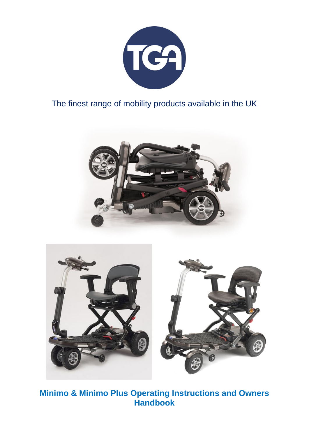

# The finest range of mobility products available in the UK





**Minimo & Minimo Plus Operating Instructions and Owners Handbook**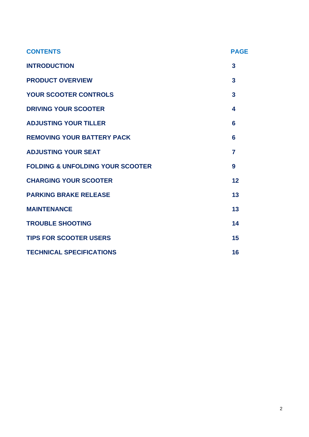| <b>CONTENTS</b>                             | <b>PAGE</b>    |
|---------------------------------------------|----------------|
| <b>INTRODUCTION</b>                         | 3              |
| <b>PRODUCT OVERVIEW</b>                     | 3              |
| <b>YOUR SCOOTER CONTROLS</b>                | 3              |
| <b>DRIVING YOUR SCOOTER</b>                 | 4              |
| <b>ADJUSTING YOUR TILLER</b>                | 6              |
| <b>REMOVING YOUR BATTERY PACK</b>           | 6              |
| <b>ADJUSTING YOUR SEAT</b>                  | $\overline{7}$ |
| <b>FOLDING &amp; UNFOLDING YOUR SCOOTER</b> | 9              |
| <b>CHARGING YOUR SCOOTER</b>                | 12             |
| <b>PARKING BRAKE RELEASE</b>                | 13             |
| <b>MAINTENANCE</b>                          | 13             |
| <b>TROUBLE SHOOTING</b>                     | 14             |
| <b>TIPS FOR SCOOTER USERS</b>               | 15             |
| <b>TECHNICAL SPECIFICATIONS</b>             | 16             |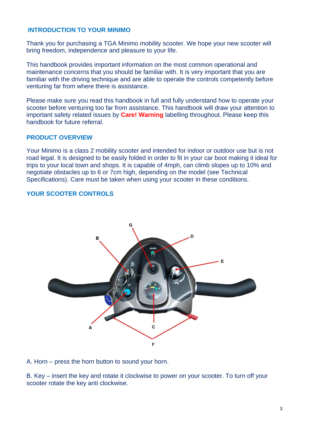# **INTRODUCTION TO YOUR MINIMO**

Thank you for purchasing a TGA Minimo mobility scooter. We hope your new scooter will bring freedom, independence and pleasure to your life.

This handbook provides important information on the most common operational and maintenance concerns that you should be familiar with. It is very important that you are familiar with the driving technique and are able to operate the controls competently before venturing far from where there is assistance.

Please make sure you read this handbook in full and fully understand how to operate your scooter before venturing too far from assistance. This handbook will draw your attention to important safety related issues by **Care! Warning** labelling throughout. Please keep this handbook for future referral.

# **PRODUCT OVERVIEW**

Your Minimo is a class 2 mobility scooter and intended for indoor or outdoor use but is not road legal. It is designed to be easily folded in order to fit in your car boot making it ideal for trips to your local town and shops. It is capable of 4mph, can climb slopes up to 10% and negotiate obstacles up to 6 or 7cm high, depending on the model (see Technical Specifications). Care must be taken when using your scooter in these conditions.

# **YOUR SCOOTER CONTROLS**



A. Horn – press the horn button to sound your horn.

B. Key – insert the key and rotate it clockwise to power on your scooter. To turn off your scooter rotate the key anti clockwise.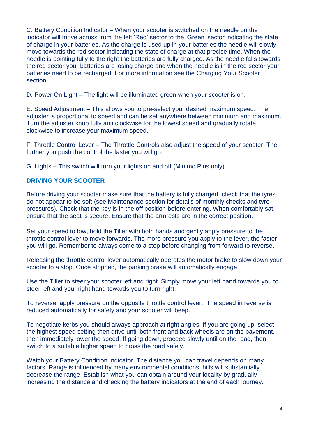C. Battery Condition Indicator – When your scooter is switched on the needle on the indicator will move across from the left 'Red' sector to the 'Green' sector indicating the state of charge in your batteries. As the charge is used up in your batteries the needle will slowly move towards the red sector indicating the state of charge at that precise time. When the needle is pointing fully to the right the batteries are fully charged. As the needle falls towards the red sector your batteries are losing charge and when the needle is in the red sector your batteries need to be recharged. For more information see the Charging Your Scooter section.

D. Power On Light – The light will be illuminated green when your scooter is on.

E. Speed Adjustment – This allows you to pre-select your desired maximum speed. The adjuster is proportional to speed and can be set anywhere between minimum and maximum. Turn the adjuster knob fully anti clockwise for the lowest speed and gradually rotate clockwise to increase your maximum speed.

F. Throttle Control Lever – The Throttle Controls also adjust the speed of your scooter. The further you push the control the faster you will go.

G. Lights – This switch will turn your lights on and off (Minimo Plus only).

# **DRIVING YOUR SCOOTER**

Before driving your scooter make sure that the battery is fully charged, check that the tyres do not appear to be soft (see Maintenance section for details of monthly checks and tyre pressures). Check that the key is in the off position before entering. When comfortably sat, ensure that the seat is secure. Ensure that the armrests are in the correct position.

Set your speed to low, hold the Tiller with both hands and gently apply pressure to the throttle control lever to move forwards. The more pressure you apply to the lever, the faster you will go. Remember to always come to a stop before changing from forward to reverse.

Releasing the throttle control lever automatically operates the motor brake to slow down your scooter to a stop. Once stopped, the parking brake will automatically engage.

Use the Tiller to steer your scooter left and right. Simply move your left hand towards you to steer left and your right hand towards you to turn right.

To reverse, apply pressure on the opposite throttle control lever. The speed in reverse is reduced automatically for safety and your scooter will beep.

To negotiate kerbs you should always approach at right angles. If you are going up, select the highest speed setting then drive until both front and back wheels are on the pavement, then immediately lower the speed. If going down, proceed slowly until on the road, then switch to a suitable higher speed to cross the road safely.

Watch your Battery Condition Indicator. The distance you can travel depends on many factors. Range is influenced by many environmental conditions, hills will substantially decrease the range. Establish what you can obtain around your locality by gradually increasing the distance and checking the battery indicators at the end of each journey.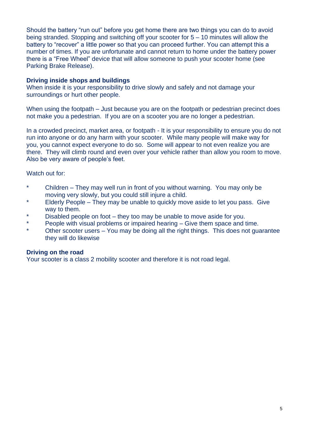Should the battery "run out" before you get home there are two things you can do to avoid being stranded. Stopping and switching off your scooter for 5 – 10 minutes will allow the battery to "recover" a little power so that you can proceed further. You can attempt this a number of times. If you are unfortunate and cannot return to home under the battery power there is a "Free Wheel" device that will allow someone to push your scooter home (see Parking Brake Release).

# **Driving inside shops and buildings**

When inside it is your responsibility to drive slowly and safely and not damage your surroundings or hurt other people.

When using the footpath – Just because you are on the footpath or pedestrian precinct does not make you a pedestrian. If you are on a scooter you are no longer a pedestrian.

In a crowded precinct, market area, or footpath - It is your responsibility to ensure you do not run into anyone or do any harm with your scooter. While many people will make way for you, you cannot expect everyone to do so. Some will appear to not even realize you are there. They will climb round and even over your vehicle rather than allow you room to move. Also be very aware of people's feet.

# Watch out for:

- \* Children They may well run in front of you without warning. You may only be moving very slowly, but you could still injure a child.
- Elderly People They may be unable to quickly move aside to let you pass. Give way to them.
- \* Disabled people on foot they too may be unable to move aside for you.
- \* People with visual problems or impaired hearing Give them space and time.
- Other scooter users You may be doing all the right things. This does not guarantee they will do likewise

## **Driving on the road**

Your scooter is a class 2 mobility scooter and therefore it is not road legal.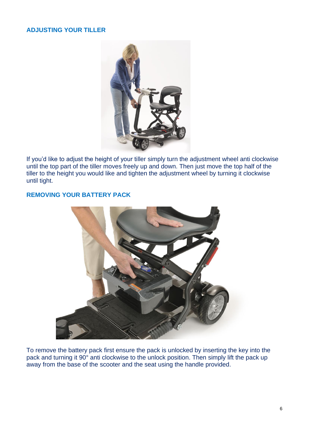# **ADJUSTING YOUR TILLER**



If you'd like to adjust the height of your tiller simply turn the adjustment wheel anti clockwise until the top part of the tiller moves freely up and down. Then just move the top half of the tiller to the height you would like and tighten the adjustment wheel by turning it clockwise until tight.

# **REMOVING YOUR BATTERY PACK**



To remove the battery pack first ensure the pack is unlocked by inserting the key into the pack and turning it 90° anti clockwise to the unlock position. Then simply lift the pack up away from the base of the scooter and the seat using the handle provided.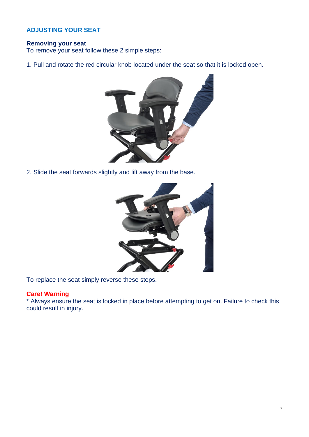# **ADJUSTING YOUR SEAT**

# **Removing your seat**

To remove your seat follow these 2 simple steps:

1. Pull and rotate the red circular knob located under the seat so that it is locked open.



2. Slide the seat forwards slightly and lift away from the base.



To replace the seat simply reverse these steps.

# **Care! Warning**

\* Always ensure the seat is locked in place before attempting to get on. Failure to check this could result in injury.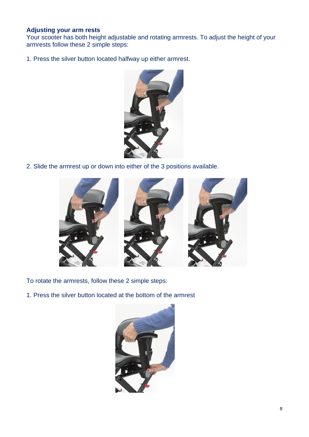## **Adjusting your arm rests**

Your scooter has both height adjustable and rotating armrests. To adjust the height of your armrests follow these 2 simple steps:

1. Press the silver button located halfway up either armrest.



2. Slide the armrest up or down into either of the 3 positions available.



To rotate the armrests, follow these 2 simple steps:

1. Press the silver button located at the bottom of the armrest

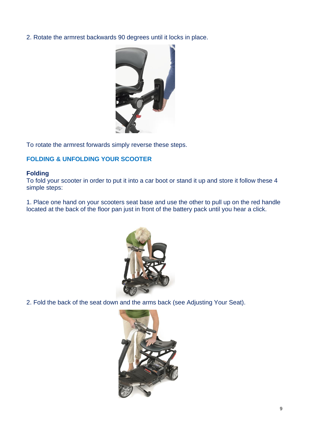2. Rotate the armrest backwards 90 degrees until it locks in place.



To rotate the armrest forwards simply reverse these steps.

# **FOLDING & UNFOLDING YOUR SCOOTER**

#### **Folding**

To fold your scooter in order to put it into a car boot or stand it up and store it follow these 4 simple steps:

1. Place one hand on your scooters seat base and use the other to pull up on the red handle located at the back of the floor pan just in front of the battery pack until you hear a click.



2. Fold the back of the seat down and the arms back (see Adjusting Your Seat).

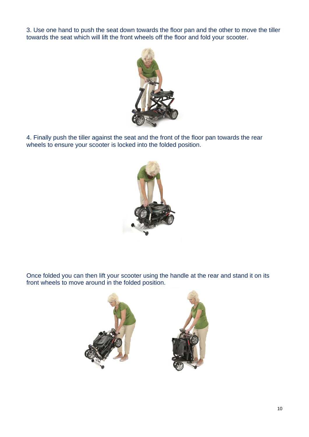3. Use one hand to push the seat down towards the floor pan and the other to move the tiller towards the seat which will lift the front wheels off the floor and fold your scooter.



4. Finally push the tiller against the seat and the front of the floor pan towards the rear wheels to ensure your scooter is locked into the folded position.



Once folded you can then lift your scooter using the handle at the rear and stand it on its front wheels to move around in the folded position.

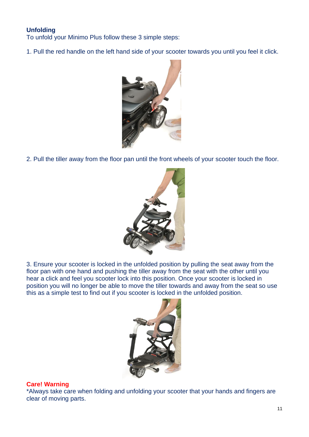# **Unfolding**

To unfold your Minimo Plus follow these 3 simple steps:

1. Pull the red handle on the left hand side of your scooter towards you until you feel it click.



2. Pull the tiller away from the floor pan until the front wheels of your scooter touch the floor.



3. Ensure your scooter is locked in the unfolded position by pulling the seat away from the floor pan with one hand and pushing the tiller away from the seat with the other until you hear a click and feel you scooter lock into this position. Once your scooter is locked in position you will no longer be able to move the tiller towards and away from the seat so use this as a simple test to find out if you scooter is locked in the unfolded position.



## **Care! Warning**

\*Always take care when folding and unfolding your scooter that your hands and fingers are clear of moving parts.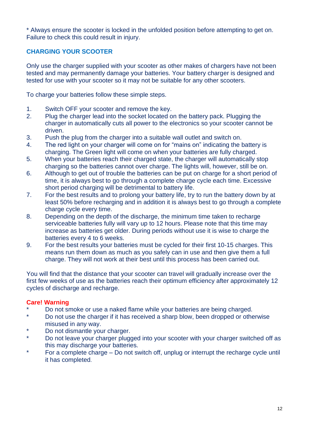\* Always ensure the scooter is locked in the unfolded position before attempting to get on. Failure to check this could result in injury.

# **CHARGING YOUR SCOOTER**

Only use the charger supplied with your scooter as other makes of chargers have not been tested and may permanently damage your batteries. Your battery charger is designed and tested for use with your scooter so it may not be suitable for any other scooters.

To charge your batteries follow these simple steps.

- 1. Switch OFF your scooter and remove the key.
- 2. Plug the charger lead into the socket located on the battery pack. Plugging the charger in automatically cuts all power to the electronics so your scooter cannot be driven.
- 3. Push the plug from the charger into a suitable wall outlet and switch on.
- 4. The red light on your charger will come on for "mains on" indicating the battery is charging. The Green light will come on when your batteries are fully charged.
- 5. When your batteries reach their charged state, the charger will automatically stop charging so the batteries cannot over charge. The lights will, however, still be on.
- 6. Although to get out of trouble the batteries can be put on charge for a short period of time, it is always best to go through a complete charge cycle each time. Excessive short period charging will be detrimental to battery life.
- 7. For the best results and to prolong your battery life, try to run the battery down by at least 50% before recharging and in addition it is always best to go through a complete charge cycle every time.
- 8. Depending on the depth of the discharge, the minimum time taken to recharge serviceable batteries fully will vary up to 12 hours. Please note that this time may increase as batteries get older. During periods without use it is wise to charge the batteries every 4 to 6 weeks.
- 9. For the best results your batteries must be cycled for their first 10-15 charges. This means run them down as much as you safely can in use and then give them a full charge. They will not work at their best until this process has been carried out.

You will find that the distance that your scooter can travel will gradually increase over the first few weeks of use as the batteries reach their optimum efficiency after approximately 12 cycles of discharge and recharge.

## **Care! Warning**

- \* Do not smoke or use a naked flame while your batteries are being charged.<br>No not use the charger if it has resolved a sharp blow, been drepped at other
- Do not use the charger if it has received a sharp blow, been dropped or otherwise misused in any way.
- \* Do not dismantle your charger.
- Do not leave your charger plugged into your scooter with your charger switched off as this may discharge your batteries.
- \* For a complete charge Do not switch off, unplug or interrupt the recharge cycle until it has completed.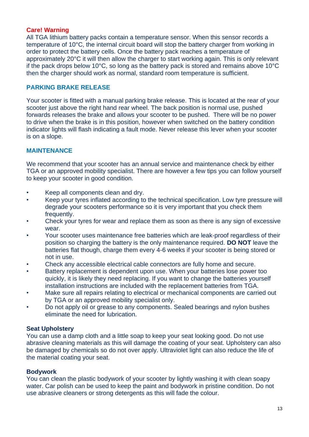## **Care! Warning**

All TGA lithium battery packs contain a temperature sensor. When this sensor records a temperature of 10°C, the internal circuit board will stop the battery charger from working in order to protect the battery cells. Once the battery pack reaches a temperature of approximately 20°C it will then allow the charger to start working again. This is only relevant if the pack drops below 10°C, so long as the battery pack is stored and remains above 10°C then the charger should work as normal, standard room temperature is sufficient.

# **PARKING BRAKE RELEASE**

Your scooter is fitted with a manual parking brake release. This is located at the rear of your scooter just above the right hand rear wheel. The back position is normal use, pushed forwards releases the brake and allows your scooter to be pushed. There will be no power to drive when the brake is in this position, however when switched on the battery condition indicator lights will flash indicating a fault mode. Never release this lever when your scooter is on a slope.

# **MAINTENANCE**

We recommend that your scooter has an annual service and maintenance check by either TGA or an approved mobility specialist. There are however a few tips you can follow yourself to keep your scooter in good condition.

- Keep all components clean and dry.
- Keep your tyres inflated according to the technical specification. Low tyre pressure will degrade your scooters performance so it is very important that you check them frequently.
- Check your tyres for wear and replace them as soon as there is any sign of excessive wear.
- Your scooter uses maintenance free batteries which are leak-proof regardless of their position so charging the battery is the only maintenance required. **DO NOT** leave the batteries flat though, charge them every 4-6 weeks if your scooter is being stored or not in use.
- Check any accessible electrical cable connectors are fully home and secure.
- Battery replacement is dependent upon use. When your batteries lose power too quickly, it is likely they need replacing. If you want to change the batteries yourself installation instructions are included with the replacement batteries from TGA.
- Make sure all repairs relating to electrical or mechanical components are carried out by TGA or an approved mobility specialist only.
- Do not apply oil or grease to any components. Sealed bearings and nylon bushes eliminate the need for lubrication.

## **Seat Upholstery**

You can use a damp cloth and a little soap to keep your seat looking good. Do not use abrasive cleaning materials as this will damage the coating of your seat. Upholstery can also be damaged by chemicals so do not over apply. Ultraviolet light can also reduce the life of the material coating your seat.

#### **Bodywork**

You can clean the plastic bodywork of your scooter by lightly washing it with clean soapy water. Car polish can be used to keep the paint and bodywork in pristine condition. Do not use abrasive cleaners or strong detergents as this will fade the colour.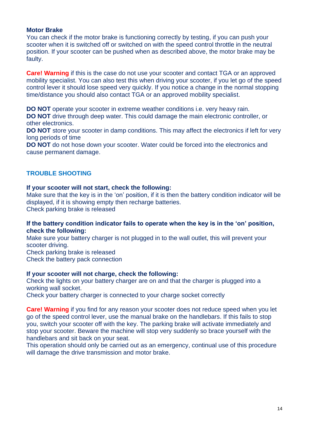#### **Motor Brake**

You can check if the motor brake is functioning correctly by testing, if you can push your scooter when it is switched off or switched on with the speed control throttle in the neutral position. If your scooter can be pushed when as described above, the motor brake may be faulty.

**Care! Warning** if this is the case do not use your scooter and contact TGA or an approved mobility specialist. You can also test this when driving your scooter, if you let go of the speed control lever it should lose speed very quickly. If you notice a change in the normal stopping time/distance you should also contact TGA or an approved mobility specialist.

**DO NOT** operate your scooter in extreme weather conditions i.e. very heavy rain.

**DO NOT** drive through deep water. This could damage the main electronic controller, or other electronics.

**DO NOT** store your scooter in damp conditions. This may affect the electronics if left for very long periods of time

**DO NOT** do not hose down your scooter. Water could be forced into the electronics and cause permanent damage.

# **TROUBLE SHOOTING**

#### **If your scooter will not start, check the following:**

Make sure that the key is in the 'on' position, if it is then the battery condition indicator will be displayed, if it is showing empty then recharge batteries. Check parking brake is released

#### **If the battery condition indicator fails to operate when the key is in the 'on' position, check the following:**

Make sure your battery charger is not plugged in to the wall outlet, this will prevent your scooter driving.

Check parking brake is released

Check the battery pack connection

## **If your scooter will not charge, check the following:**

Check the lights on your battery charger are on and that the charger is plugged into a working wall socket.

Check your battery charger is connected to your charge socket correctly

**Care! Warning** if you find for any reason your scooter does not reduce speed when you let go of the speed control lever, use the manual brake on the handlebars. If this fails to stop you, switch your scooter off with the key. The parking brake will activate immediately and stop your scooter. Beware the machine will stop very suddenly so brace yourself with the handlebars and sit back on your seat.

This operation should only be carried out as an emergency, continual use of this procedure will damage the drive transmission and motor brake.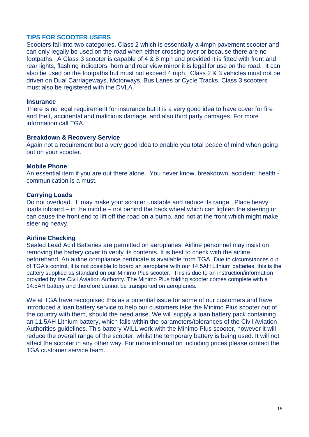## **TIPS FOR SCOOTER USERS**

Scooters fall into two categories, Class 2 which is essentially a 4mph pavement scooter and can only legally be used on the road when either crossing over or because there are no footpaths. A Class 3 scooter is capable of 4 & 8 mph and provided it is fitted with front and rear lights, flashing indicators, horn and rear view mirror it is legal for use on the road. It can also be used on the footpaths but must not exceed 4 mph. Class 2 & 3 vehicles must not be driven on Dual Carriageways, Motorways, Bus Lanes or Cycle Tracks. Class 3 scooters must also be registered with the DVLA.

#### **Insurance**

There is no legal requirement for insurance but it is a very good idea to have cover for fire and theft, accidental and malicious damage, and also third party damages. For more information call TGA.

#### **Breakdown & Recovery Service**

Again not a requirement but a very good idea to enable you total peace of mind when going out on your scooter.

#### **Mobile Phone**

An essential item if you are out there alone. You never know, breakdown, accident, health communication is a must.

#### **Carrying Loads**

Do not overload. It may make your scooter unstable and reduce its range. Place heavy loads inboard – in the middle – not behind the back wheel which can lighten the steering or can cause the front end to lift off the road on a bump, and not at the front which might make steering heavy.

#### **Airline Checking**

Sealed Lead Acid Batteries are permitted on aeroplanes. Airline personnel may insist on removing the battery cover to verify its contents. It is best to check with the airline beforehand. An airline compliance certificate is available from TGA. Due to circumstances out of TGA's control, it is not possible to board an aeroplane with our 14.5AH Lithium batteries, this is the battery supplied as standard on our Minimo Plus scooter. This is due to an instruction/information provided by the Civil Aviation Authority. The Minimo Plus folding scooter comes complete with a 14.5AH battery and therefore cannot be transported on aeroplanes.

We at TGA have recognised this as a potential issue for some of our customers and have introduced a loan battery service to help our customers take the Minimo Plus scooter out of the country with them, should the need arise. We will supply a loan battery pack containing an 11.5AH Lithium battery, which falls within the parameters/tolerances of the Civil Aviation Authorities guidelines. This battery WILL work with the Minimo Plus scooter, however it will reduce the overall range of the scooter, whilst the temporary battery is being used. It will not affect the scooter in any other way. For more information including prices please contact the TGA customer service team.